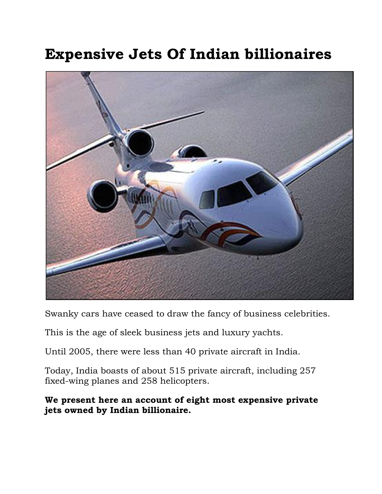# **Expensive Jets Of Indian billionaires**



Swanky cars have ceased to draw the fancy of business celebrities.

This is the age of sleek business jets and luxury yachts.

Until 2005, there were less than 40 private aircraft in India.

Today, India boasts of about 515 private aircraft, including 257 fixed-wing planes and 258 helicopters.

### **We present here an account of eight most expensive private jets owned by Indian billionaire.**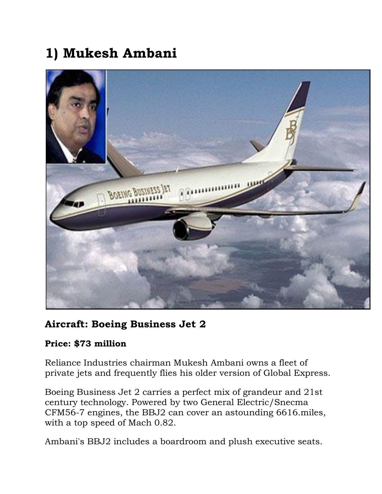# **1) Mukesh Ambani**



### **Aircraft: Boeing Business Jet 2**

### **Price: \$73 million**

Reliance Industries chairman Mukesh Ambani owns a fleet of private jets and frequently flies his older version of Global Express.

Boeing Business Jet 2 carries a perfect mix of grandeur and 21st century technology. Powered by two General Electric/Snecma CFM56-7 engines, the BBJ2 can cover an astounding 6616.miles, with a top speed of Mach 0.82.

Ambani's BBJ2 includes a boardroom and plush executive seats.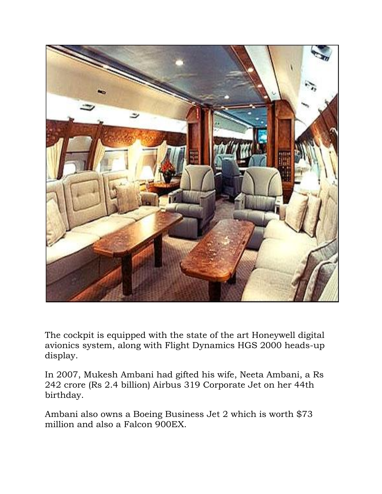

The cockpit is equipped with the state of the art Honeywell digital avionics system, along with Flight Dynamics HGS 2000 heads-up display.

In 2007, Mukesh Ambani had gifted his wife, Neeta Ambani, a Rs 242 crore (Rs 2.4 billion) Airbus 319 Corporate Jet on her 44th birthday.

Ambani also owns a Boeing Business Jet 2 which is worth \$73 million and also a Falcon 900EX.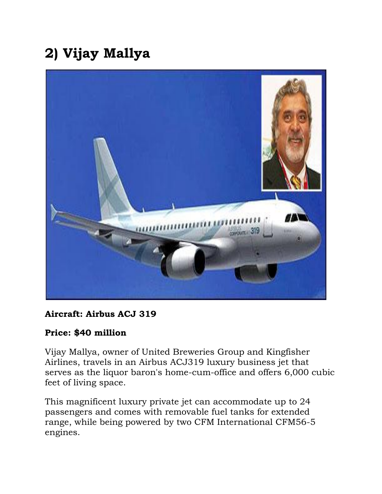# **2) Vijay Mallya**

![](_page_3_Picture_1.jpeg)

### **Aircraft: Airbus ACJ 319**

### **Price: \$40 million**

Vijay Mallya, owner of United Breweries Group and Kingfisher Airlines, travels in an Airbus ACJ319 luxury business jet that serves as the liquor baron's home-cum-office and offers 6,000 cubic feet of living space.

This magnificent luxury private jet can accommodate up to 24 passengers and comes with removable fuel tanks for extended range, while being powered by two CFM International CFM56-5 engines.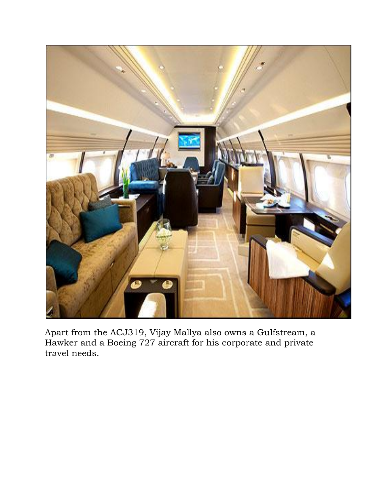![](_page_4_Picture_0.jpeg)

Apart from the ACJ319, Vijay Mallya also owns a Gulfstream, a Hawker and a Boeing 727 aircraft for his corporate and private travel needs.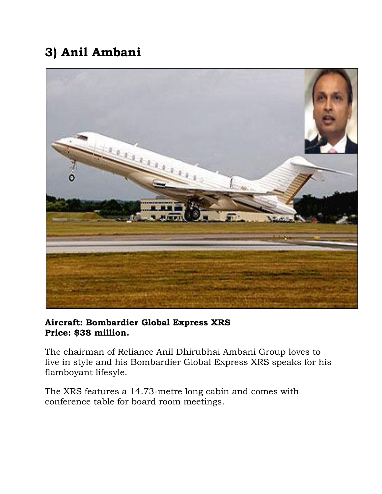### **3) Anil Ambani**

![](_page_5_Picture_1.jpeg)

### **Aircraft: Bombardier Global Express XRS Price: \$38 million.**

The chairman of Reliance Anil Dhirubhai Ambani Group loves to live in style and his Bombardier Global Express XRS speaks for his flamboyant lifesyle.

The XRS features a 14.73-metre long cabin and comes with conference table for board room meetings.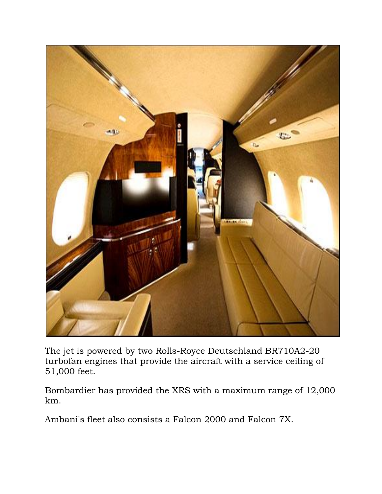![](_page_6_Picture_0.jpeg)

The jet is powered by two Rolls-Royce Deutschland BR710A2-20 turbofan engines that provide the aircraft with a service ceiling of 51,000 feet.

Bombardier has provided the XRS with a maximum range of 12,000 km.

Ambani's fleet also consists a Falcon 2000 and Falcon 7X.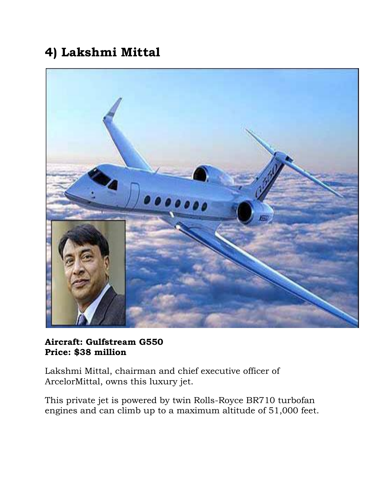### **4) Lakshmi Mittal**

![](_page_7_Picture_1.jpeg)

#### **Aircraft: Gulfstream G550 Price: \$38 million**

Lakshmi Mittal, chairman and chief executive officer of ArcelorMittal, owns this luxury jet.

This private jet is powered by twin Rolls-Royce BR710 turbofan engines and can climb up to a maximum altitude of 51,000 feet.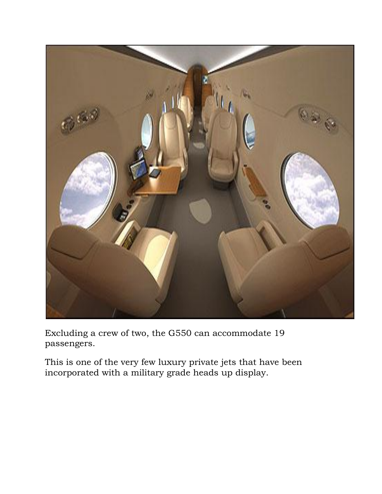![](_page_8_Picture_0.jpeg)

Excluding a crew of two, the G550 can accommodate 19 passengers.

This is one of the very few luxury private jets that have been incorporated with a military grade heads up display.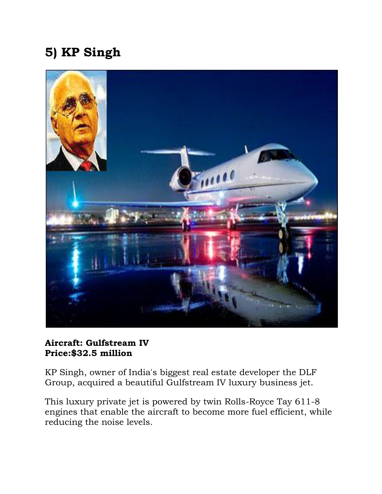## **5) KP Singh**

![](_page_9_Picture_1.jpeg)

#### **Aircraft: Gulfstream IV Price:\$32.5 million**

KP Singh, owner of India's biggest real estate developer the DLF Group, acquired a beautiful Gulfstream IV luxury business jet.

This luxury private jet is powered by twin Rolls-Royce Tay 611-8 engines that enable the aircraft to become more fuel efficient, while reducing the noise levels.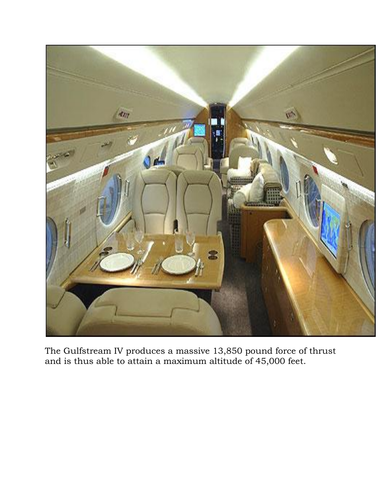![](_page_10_Picture_0.jpeg)

The Gulfstream IV produces a massive 13,850 pound force of thrust and is thus able to attain a maximum altitude of 45,000 feet.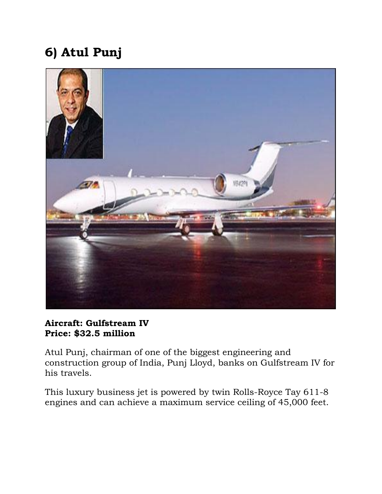## **6) Atul Punj**

![](_page_11_Picture_1.jpeg)

### **Aircraft: Gulfstream IV Price: \$32.5 million**

Atul Punj, chairman of one of the biggest engineering and construction group of India, Punj Lloyd, banks on Gulfstream IV for his travels.

This luxury business jet is powered by twin Rolls-Royce Tay 611-8 engines and can achieve a maximum service ceiling of 45,000 feet.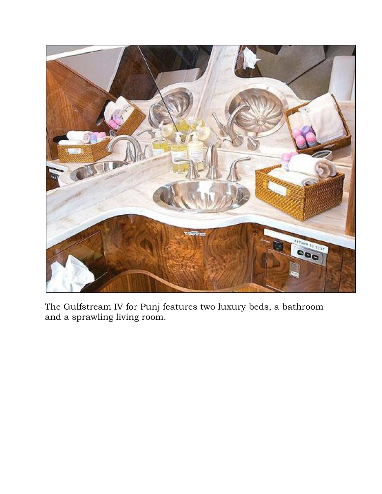![](_page_12_Picture_0.jpeg)

The Gulfstream IV for Punj features two luxury beds, a bathroom and a sprawling living room.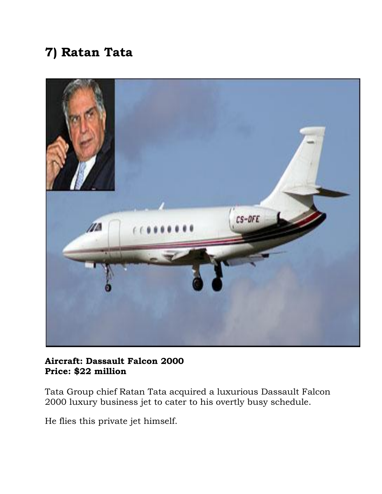### **7) Ratan Tata**

![](_page_13_Picture_1.jpeg)

#### **Aircraft: Dassault Falcon 2000 Price: \$22 million**

Tata Group chief Ratan Tata acquired a luxurious Dassault Falcon 2000 luxury business jet to cater to his overtly busy schedule.

He flies this private jet himself.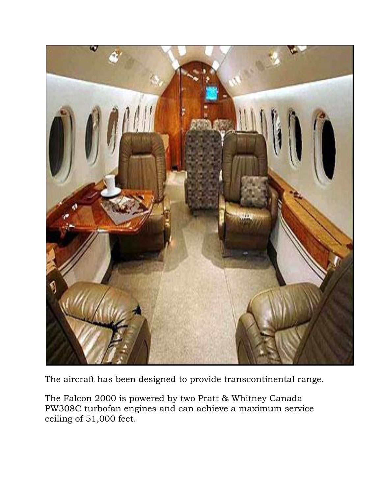![](_page_14_Picture_0.jpeg)

The aircraft has been designed to provide transcontinental range.

The Falcon 2000 is powered by two Pratt & Whitney Canada PW308C turbofan engines and can achieve a maximum service ceiling of 51,000 feet.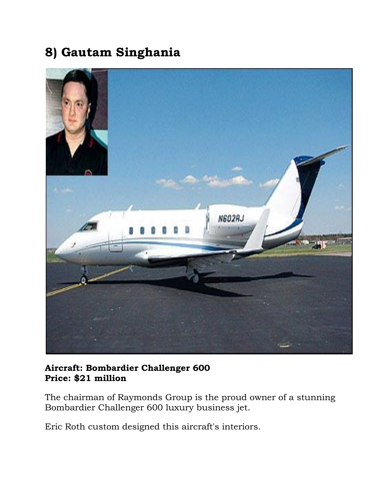### **8) Gautam Singhania**

![](_page_15_Picture_1.jpeg)

### **Aircraft: Bombardier Challenger 600 Price: \$21 million**

The chairman of Raymonds Group is the proud owner of a stunning Bombardier Challenger 600 luxury business jet.

Eric Roth custom designed this aircraft's interiors.